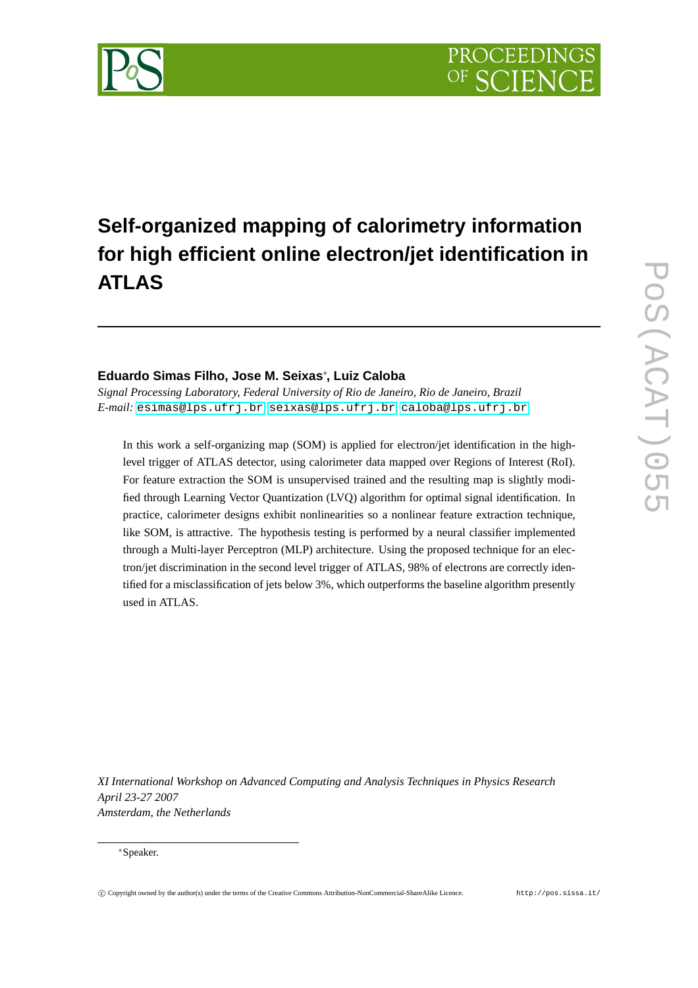# **Self-organized mapping of calorimetry information for high efficient online electron/jet identification in ATLAS**

## **Eduardo Simas Filho, Jose M. Seixas**<sup>∗</sup> **, Luiz Caloba**

*Signal Processing Laboratory, Federal University of Rio de Janeiro, Rio de Janeiro, Brazil E-mail:* [esimas@lps.ufrj.br](mailto:esimas@lps.ufrj.br)*,* [seixas@lps.ufrj.br](mailto:seixas@lps.ufrj.br)*,* [caloba@lps.ufrj.br](mailto:caloba@lps.ufrj.br)

In this work a self-organizing map (SOM) is applied for electron/jet identification in the highlevel trigger of ATLAS detector, using calorimeter data mapped over Regions of Interest (RoI). For feature extraction the SOM is unsupervised trained and the resulting map is slightly modified through Learning Vector Quantization (LVQ) algorithm for optimal signal identification. In practice, calorimeter designs exhibit nonlinearities so a nonlinear feature extraction technique, like SOM, is attractive. The hypothesis testing is performed by a neural classifier implemented through a Multi-layer Perceptron (MLP) architecture. Using the proposed technique for an electron/jet discrimination in the second level trigger of ATLAS, 98% of electrons are correctly identified for a misclassification of jets below 3%, which outperforms the baseline algorithm presently used in ATLAS.

*XI International Workshop on Advanced Computing and Analysis Techniques in Physics Research April 23-27 2007 Amsterdam, the Netherlands*

#### <sup>∗</sup>Speaker.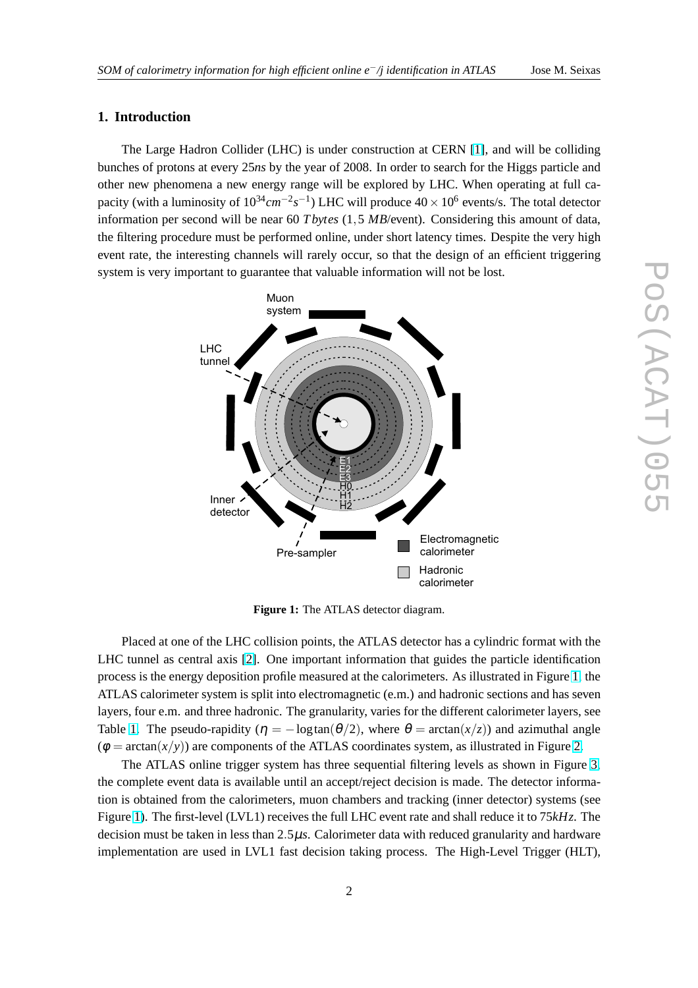#### **1. Introduction**

The Large Hadron Collider (LHC) is under construction at CERN [\[1\]](#page-11-0), and will be colliding bunches of protons at every 25*ns* by the year of 2008. In order to search for the Higgs particle and other new phenomena a new energy range will be explored by LHC. When operating at full capacity (with a luminosity of 10<sup>34</sup> *cm*<sup>−2</sup>s<sup>−1</sup>) LHC will produce 40 × 10<sup>6</sup> events/s. The total detector information per second will be near 60 *T bytes* (1,5 *MB*/event). Considering this amount of data, the filtering procedure must be performed online, under short latency times. Despite the very high event rate, the interesting channels will rarely occur, so that the design of an efficient triggering system is very important to guarantee that valuable information will not be lost.



**Figure 1:** The ATLAS detector diagram.

Placed at one of the LHC collision points, the ATLAS detector has a cylindric format with the LHC tunnel as central axis [\[2\]](#page-11-0). One important information that guides the particle identification process is the energy deposition profile measured at the calorimeters. As illustrated in Figure 1, the ATLAS calorimeter system is split into electromagnetic (e.m.) and hadronic sections and has seven layers, four e.m. and three hadronic. The granularity, varies for the different calorimeter layers, see Table [1.](#page-2-0) The pseudo-rapidity ( $\eta = -\log \tan(\theta/2)$ , where  $\theta = \arctan(x/z)$ ) and azimuthal angle  $(\phi = \arctan(x/y))$  are components of the ATLAS coordinates system, as illustrated in Figure [2.](#page-2-0)

The ATLAS online trigger system has three sequential filtering levels as shown in Figure [3,](#page-3-0) the complete event data is available until an accept/reject decision is made. The detector information is obtained from the calorimeters, muon chambers and tracking (inner detector) systems (see Figure 1). The first-level (LVL1) receives the full LHC event rate and shall reduce it to 75*kHz*. The decision must be taken in less than 2.5µ*s*. Calorimeter data with reduced granularity and hardware implementation are used in LVL1 fast decision taking process. The High-Level Trigger (HLT),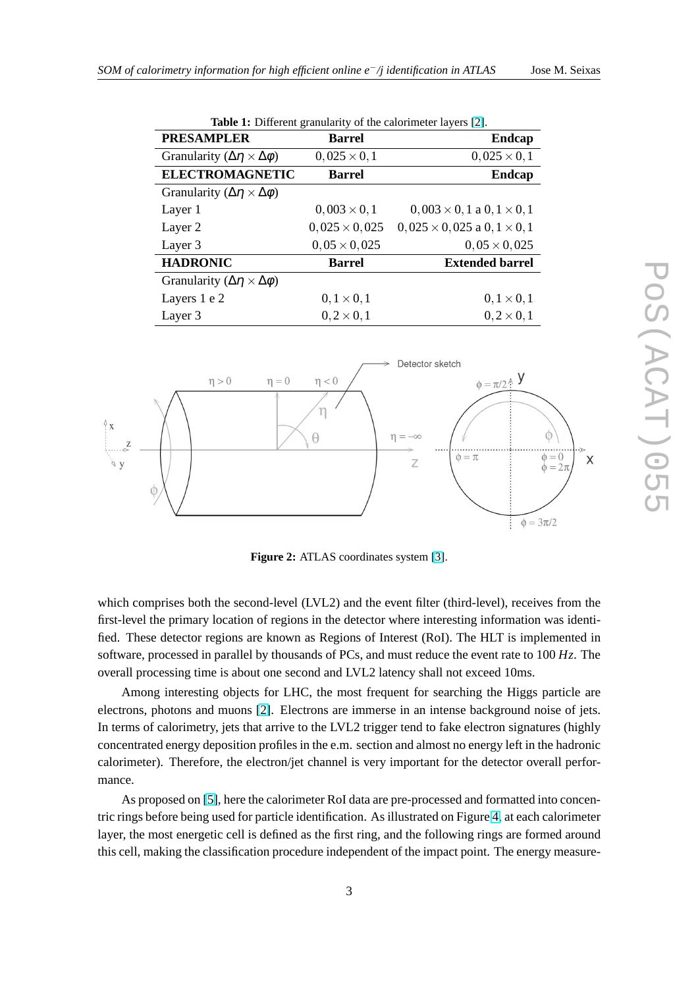<span id="page-2-0"></span>

| <b>PRESAMPLER</b>                                | <b>Barrel</b>        | <b>Endcap</b>                           |  |
|--------------------------------------------------|----------------------|-----------------------------------------|--|
| Granularity ( $\Delta \eta \times \Delta \phi$ ) | $0,025 \times 0,1$   | $0,025 \times 0,1$                      |  |
| <b>ELECTROMAGNETIC</b>                           | <b>Barrel</b>        | <b>Endcap</b>                           |  |
| Granularity ( $\Delta \eta \times \Delta \phi$ ) |                      |                                         |  |
| Layer 1                                          | $0,003 \times 0,1$   | $0,003 \times 0,1$ a $0,1 \times 0,1$   |  |
| Layer 2                                          | $0,025 \times 0,025$ | $0,025 \times 0,025$ a $0,1 \times 0,1$ |  |
| Layer 3                                          | $0,05 \times 0,025$  | $0,05 \times 0,025$                     |  |
| <b>HADRONIC</b>                                  | <b>Barrel</b>        | <b>Extended barrel</b>                  |  |
| Granularity ( $\Delta \eta \times \Delta \phi$ ) |                      |                                         |  |
| Layers 1 e 2                                     | $0, 1 \times 0, 1$   | $0, 1 \times 0, 1$                      |  |
| Layer 3                                          | $0, 2 \times 0, 1$   | $0, 2 \times 0, 1$                      |  |

**Table 1:** Different granularity of the calorimeter layers [\[2\]](#page-11-0).



Figure 2: ATLAS coordinates system [\[3\]](#page-11-0).

which comprises both the second-level (LVL2) and the event filter (third-level), receives from the first-level the primary location of regions in the detector where interesting information was identified. These detector regions are known as Regions of Interest (RoI). The HLT is implemented in software, processed in parallel by thousands of PCs, and must reduce the event rate to 100 *Hz*. The overall processing time is about one second and LVL2 latency shall not exceed 10ms.

Among interesting objects for LHC, the most frequent for searching the Higgs particle are electrons, photons and muons [\[2\]](#page-11-0). Electrons are immerse in an intense background noise of jets. In terms of calorimetry, jets that arrive to the LVL2 trigger tend to fake electron signatures (highly concentrated energy deposition profiles in the e.m. section and almost no energy left in the hadronic calorimeter). Therefore, the electron/jet channel is very important for the detector overall performance.

As proposed on [\[5\]](#page-12-0), here the calorimeter RoI data are pre-processed and formatted into concentric rings before being used for particle identification. As illustrated on Figure [4,](#page-3-0) at each calorimeter layer, the most energetic cell is defined as the first ring, and the following rings are formed around this cell, making the classification procedure independent of the impact point. The energy measure-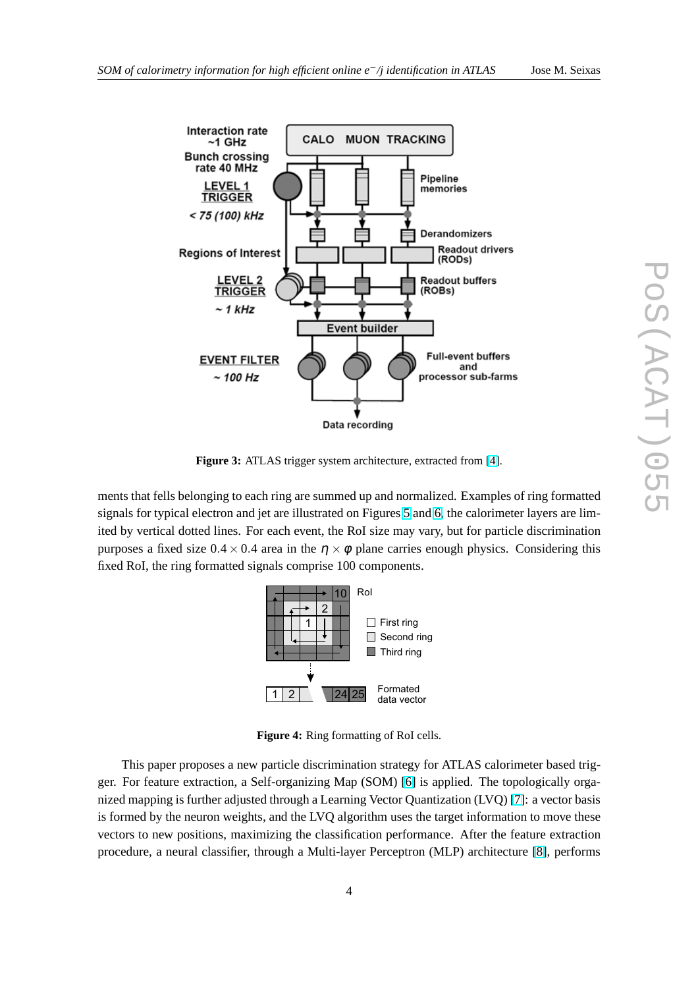<span id="page-3-0"></span>

**Figure 3:** ATLAS trigger system architecture, extracted from [\[4\]](#page-12-0).

ments that fells belonging to each ring are summed up and normalized. Examples of ring formatted signals for typical electron and jet are illustrated on Figures [5](#page-4-0) and [6,](#page-4-0) the calorimeter layers are limited by vertical dotted lines. For each event, the RoI size may vary, but for particle discrimination purposes a fixed size  $0.4 \times 0.4$  area in the  $\eta \times \phi$  plane carries enough physics. Considering this fixed RoI, the ring formatted signals comprise 100 components.



**Figure 4:** Ring formatting of RoI cells.

This paper proposes a new particle discrimination strategy for ATLAS calorimeter based trigger. For feature extraction, a Self-organizing Map (SOM) [\[6\]](#page-12-0) is applied. The topologically organized mapping is further adjusted through a Learning Vector Quantization (LVQ) [\[7\]](#page-12-0): a vector basis is formed by the neuron weights, and the LVQ algorithm uses the target information to move these vectors to new positions, maximizing the classification performance. After the feature extraction procedure, a neural classifier, through a Multi-layer Perceptron (MLP) architecture [\[8\]](#page-12-0), performs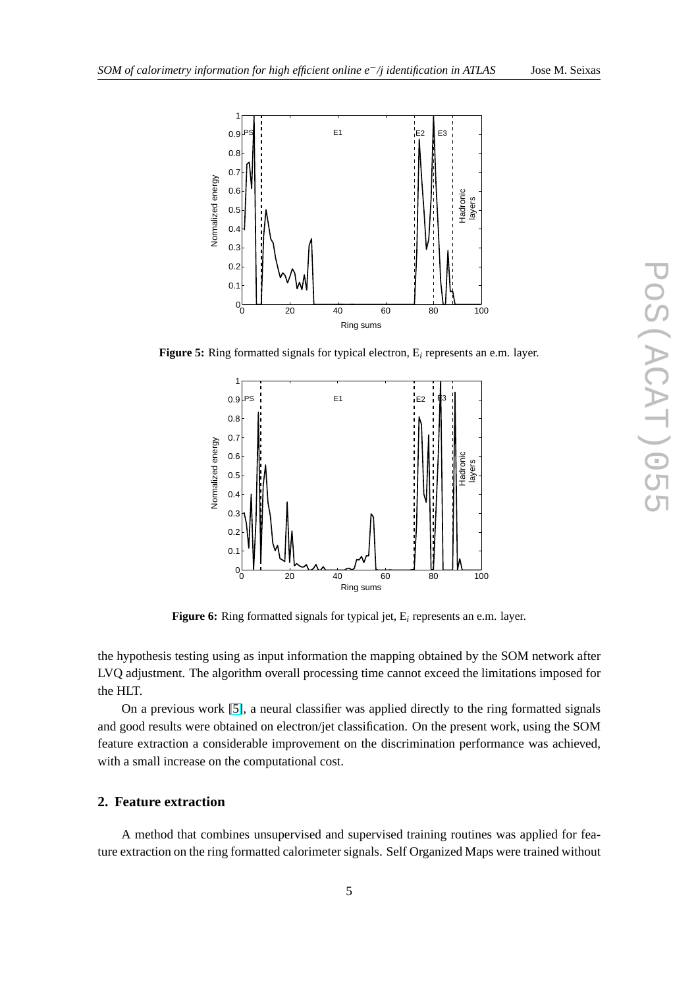<span id="page-4-0"></span>

**Figure 5:** Ring formatted signals for typical electron, E*<sup>i</sup>* represents an e.m. layer.



**Figure 6:** Ring formatted signals for typical jet, E*<sup>i</sup>* represents an e.m. layer.

the hypothesis testing using as input information the mapping obtained by the SOM network after LVQ adjustment. The algorithm overall processing time cannot exceed the limitations imposed for the HLT.

On a previous work [\[5\]](#page-12-0), a neural classifier was applied directly to the ring formatted signals and good results were obtained on electron/jet classification. On the present work, using the SOM feature extraction a considerable improvement on the discrimination performance was achieved, with a small increase on the computational cost.

#### **2. Feature extraction**

A method that combines unsupervised and supervised training routines was applied for feature extraction on the ring formatted calorimeter signals. Self Organized Maps were trained without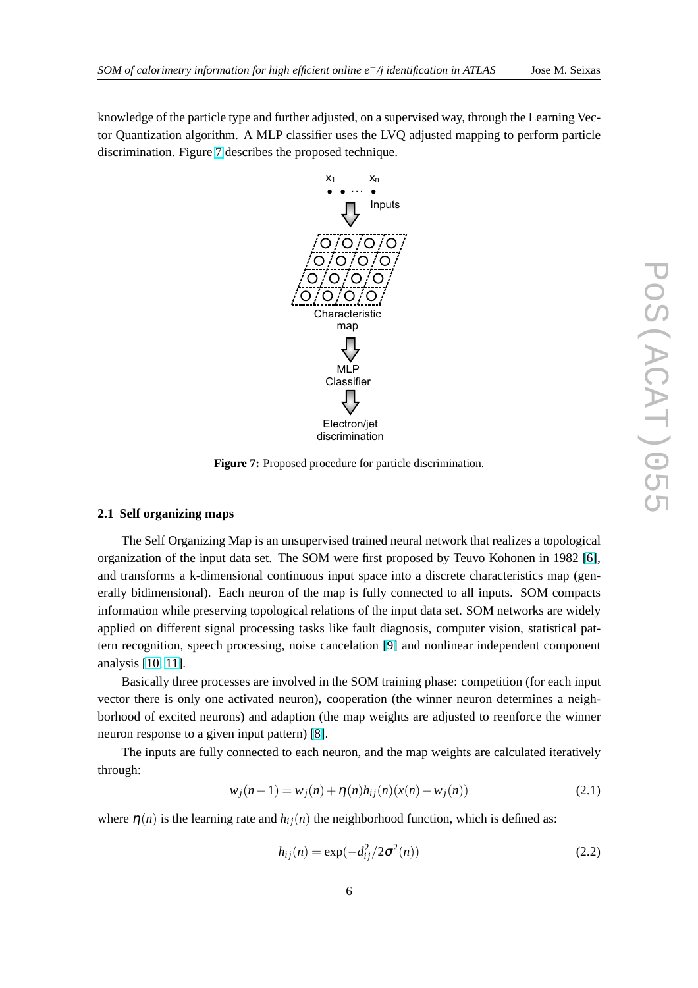knowledge of the particle type and further adjusted, on a supervised way, through the Learning Vector Quantization algorithm. A MLP classifier uses the LVQ adjusted mapping to perform particle discrimination. Figure 7 describes the proposed technique.



**Figure 7:** Proposed procedure for particle discrimination.

#### **2.1 Self organizing maps**

The Self Organizing Map is an unsupervised trained neural network that realizes a topological organization of the input data set. The SOM were first proposed by Teuvo Kohonen in 1982 [\[6\]](#page-12-0), and transforms a k-dimensional continuous input space into a discrete characteristics map (generally bidimensional). Each neuron of the map is fully connected to all inputs. SOM compacts information while preserving topological relations of the input data set. SOM networks are widely applied on different signal processing tasks like fault diagnosis, computer vision, statistical pattern recognition, speech processing, noise cancelation [\[9\]](#page-12-0) and nonlinear independent component analysis [\[10,](#page-12-0) [11\]](#page-12-0).

Basically three processes are involved in the SOM training phase: competition (for each input vector there is only one activated neuron), cooperation (the winner neuron determines a neighborhood of excited neurons) and adaption (the map weights are adjusted to reenforce the winner neuron response to a given input pattern) [\[8\]](#page-12-0).

The inputs are fully connected to each neuron, and the map weights are calculated iteratively through:

$$
w_j(n+1) = w_j(n) + \eta(n)h_{ij}(n)(x(n) - w_j(n))
$$
\n(2.1)

where  $\eta(n)$  is the learning rate and  $h_{ij}(n)$  the neighborhood function, which is defined as:

$$
h_{ij}(n) = \exp(-d_{ij}^2/2\sigma^2(n))
$$
\n(2.2)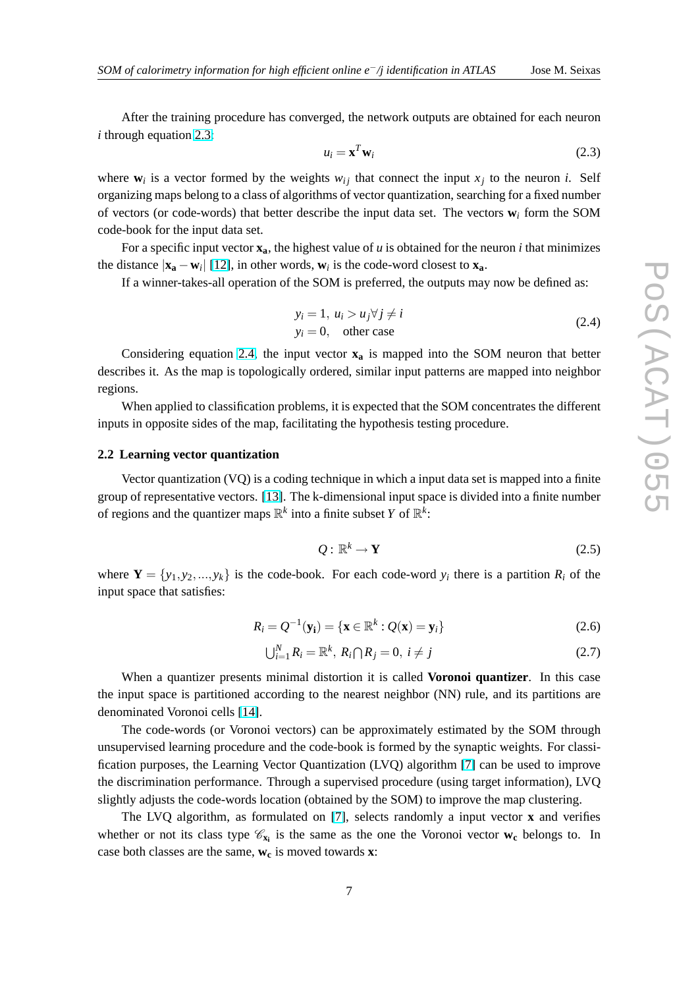<span id="page-6-0"></span>After the training procedure has converged, the network outputs are obtained for each neuron *i* through equation 2.3:

$$
u_i = \mathbf{x}^T \mathbf{w}_i \tag{2.3}
$$

where  $w_i$  is a vector formed by the weights  $w_{ij}$  that connect the input  $x_j$  to the neuron *i*. Self organizing maps belong to a class of algorithms of vector quantization, searching for a fixed number of vectors (or code-words) that better describe the input data set. The vectors **w***<sup>i</sup>* form the SOM code-book for the input data set.

For a specific input vector  $\mathbf{x}_a$ , the highest value of *u* is obtained for the neuron *i* that minimizes the distance  $|\mathbf{x}_a - \mathbf{w}_i|$  [\[12\]](#page-12-0), in other words,  $\mathbf{w}_i$  is the code-word closest to  $\mathbf{x}_a$ .

If a winner-takes-all operation of the SOM is preferred, the outputs may now be defined as:

$$
y_i = 1, u_i > u_j \forall j \neq i
$$
  
\n
$$
y_i = 0, \quad \text{other case}
$$
 (2.4)

Considering equation 2.4, the input vector  $\mathbf{x}_a$  is mapped into the SOM neuron that better describes it. As the map is topologically ordered, similar input patterns are mapped into neighbor regions.

When applied to classification problems, it is expected that the SOM concentrates the different inputs in opposite sides of the map, facilitating the hypothesis testing procedure.

#### **2.2 Learning vector quantization**

Vector quantization (VQ) is a coding technique in which a input data set is mapped into a finite group of representative vectors. [\[13\]](#page-12-0). The k-dimensional input space is divided into a finite number of regions and the quantizer maps  $\mathbb{R}^k$  into a finite subset *Y* of  $\mathbb{R}^k$ :

$$
Q: \mathbb{R}^k \to \mathbf{Y} \tag{2.5}
$$

where  $Y = \{y_1, y_2, ..., y_k\}$  is the code-book. For each code-word  $y_i$  there is a partition  $R_i$  of the input space that satisfies:

$$
R_i = Q^{-1}(\mathbf{y_i}) = {\mathbf{x} \in \mathbb{R}^k : Q(\mathbf{x}) = \mathbf{y_i}}
$$
\n(2.6)

$$
\bigcup_{i=1}^{N} R_i = \mathbb{R}^k, R_i \bigcap R_j = 0, i \neq j \tag{2.7}
$$

When a quantizer presents minimal distortion it is called **Voronoi quantizer**. In this case the input space is partitioned according to the nearest neighbor (NN) rule, and its partitions are denominated Voronoi cells [\[14\]](#page-12-0).

The code-words (or Voronoi vectors) can be approximately estimated by the SOM through unsupervised learning procedure and the code-book is formed by the synaptic weights. For classification purposes, the Learning Vector Quantization (LVQ) algorithm [\[7\]](#page-12-0) can be used to improve the discrimination performance. Through a supervised procedure (using target information), LVQ slightly adjusts the code-words location (obtained by the SOM) to improve the map clustering.

The LVQ algorithm, as formulated on [\[7\]](#page-12-0), selects randomly a input vector **x** and verifies whether or not its class type  $\mathcal{C}_{\mathbf{x}_i}$  is the same as the one the Voronoi vector  $\mathbf{w}_c$  belongs to. In case both classes are the same, **w<sup>c</sup>** is moved towards **x**: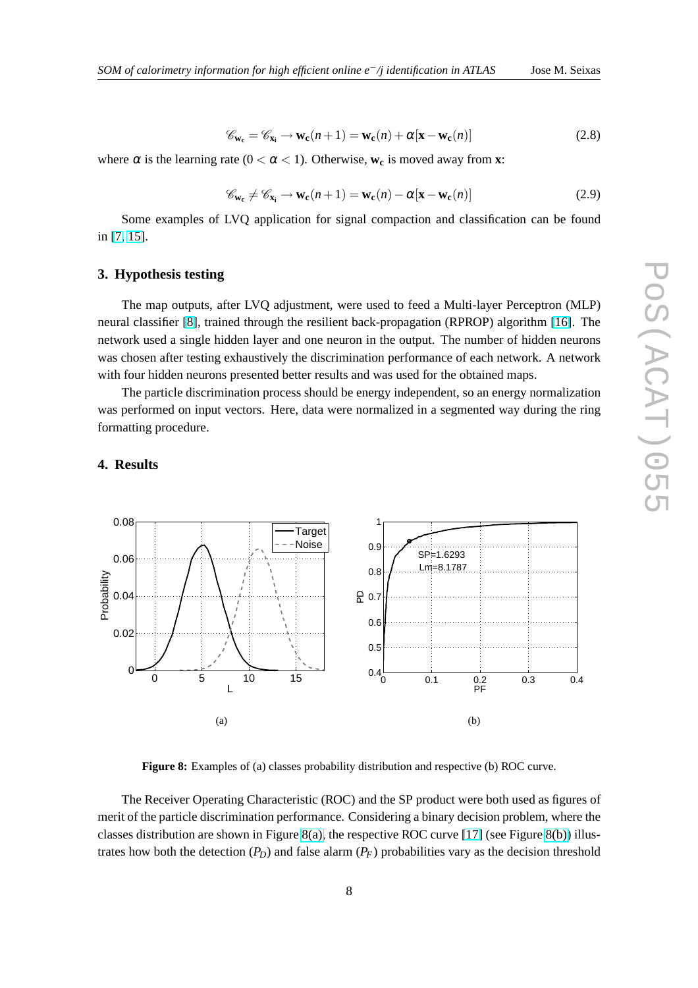$$
\mathscr{C}_{\mathbf{w_c}} = \mathscr{C}_{\mathbf{x_i}} \to \mathbf{w_c}(n+1) = \mathbf{w_c}(n) + \alpha[\mathbf{x} - \mathbf{w_c}(n)]
$$
\n(2.8)

<span id="page-7-0"></span>where  $\alpha$  is the learning rate ( $0 < \alpha < 1$ ). Otherwise,  $w_c$  is moved away from **x**:

$$
\mathscr{C}_{\mathbf{w_c}} \neq \mathscr{C}_{\mathbf{x_i}} \to \mathbf{w_c}(n+1) = \mathbf{w_c}(n) - \alpha[\mathbf{x} - \mathbf{w_c}(n)] \tag{2.9}
$$

Some examples of LVQ application for signal compaction and classification can be found in [\[7,](#page-12-0) [15\]](#page-12-0).

#### **3. Hypothesis testing**

The map outputs, after LVQ adjustment, were used to feed a Multi-layer Perceptron (MLP) neural classifier [\[8\]](#page-12-0), trained through the resilient back-propagation (RPROP) algorithm [\[16\]](#page-12-0). The network used a single hidden layer and one neuron in the output. The number of hidden neurons was chosen after testing exhaustively the discrimination performance of each network. A network with four hidden neurons presented better results and was used for the obtained maps.

The particle discrimination process should be energy independent, so an energy normalization was performed on input vectors. Here, data were normalized in a segmented way during the ring formatting procedure.

### **4. Results**



**Figure 8:** Examples of (a) classes probability distribution and respective (b) ROC curve.

The Receiver Operating Characteristic (ROC) and the SP product were both used as figures of merit of the particle discrimination performance. Considering a binary decision problem, where the classes distribution are shown in Figure 8(a), the respective ROC curve [\[17\]](#page-12-0) (see Figure 8(b)) illustrates how both the detection  $(P_D)$  and false alarm  $(P_F)$  probabilities vary as the decision threshold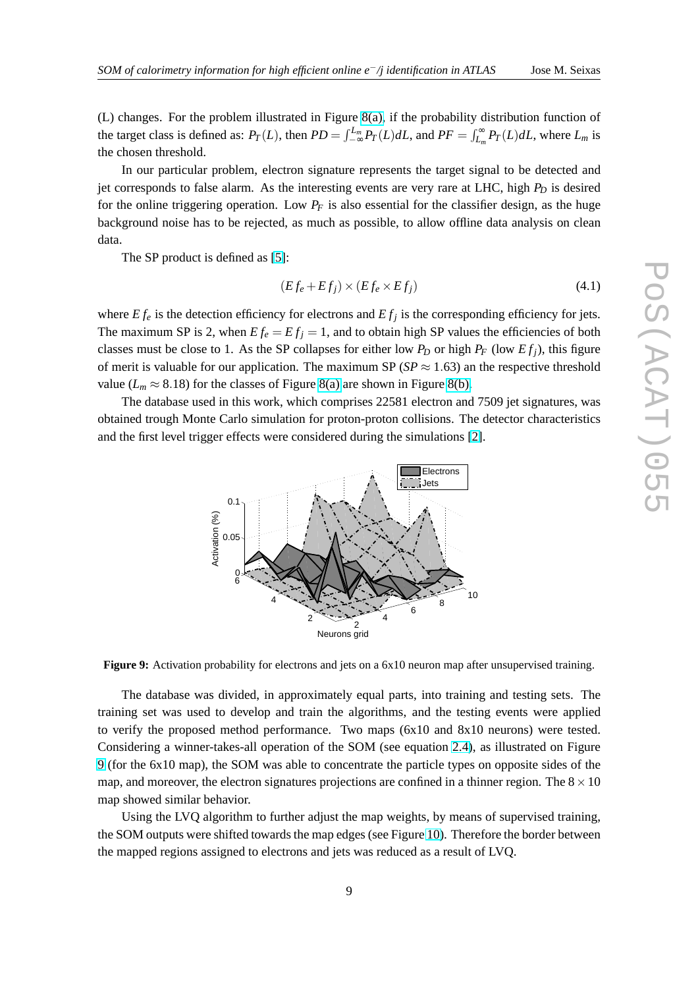(L) changes. For the problem illustrated in Figure [8\(a\),](#page-7-0) if the probability distribution function of the target class is defined as:  $P_T(L)$ , then  $PD = \int_{-\infty}^{L_m} P_T(L) dL$ , and  $PF = \int_{L_m}^{L_m} P_T(L) dL$  $\int_{L_m}^{\infty} P_T(L) dL$ , where  $L_m$  is the chosen threshold.

In our particular problem, electron signature represents the target signal to be detected and jet corresponds to false alarm. As the interesting events are very rare at LHC, high *P<sup>D</sup>* is desired for the online triggering operation. Low  $P_F$  is also essential for the classifier design, as the huge background noise has to be rejected, as much as possible, to allow offline data analysis on clean data.

The SP product is defined as [\[5\]](#page-12-0):

$$
(Ef_e + Ef_j) \times (Ef_e \times Ef_j)
$$
\n(4.1)

where  $Ef_e$  is the detection efficiency for electrons and  $Ef_j$  is the corresponding efficiency for jets. The maximum SP is 2, when  $Ef_e = Ef_i = 1$ , and to obtain high SP values the efficiencies of both classes must be close to 1. As the SP collapses for either low  $P_D$  or high  $P_F$  (low  $Ef_j$ ), this figure of merit is valuable for our application. The maximum SP ( $SP \approx 1.63$ ) an the respective threshold value ( $L_m \approx 8.18$ ) for the classes of Figure [8\(a\)](#page-7-0) are shown in Figure [8\(b\).](#page-7-0)

The database used in this work, which comprises 22581 electron and 7509 jet signatures, was obtained trough Monte Carlo simulation for proton-proton collisions. The detector characteristics and the first level trigger effects were considered during the simulations [\[2\]](#page-11-0).





The database was divided, in approximately equal parts, into training and testing sets. The training set was used to develop and train the algorithms, and the testing events were applied to verify the proposed method performance. Two maps (6x10 and 8x10 neurons) were tested. Considering a winner-takes-all operation of the SOM (see equation [2.4\)](#page-6-0), as illustrated on Figure 9 (for the 6x10 map), the SOM was able to concentrate the particle types on opposite sides of the map, and moreover, the electron signatures projections are confined in a thinner region. The  $8 \times 10$ map showed similar behavior.

Using the LVQ algorithm to further adjust the map weights, by means of supervised training, the SOM outputs were shifted towards the map edges (see Figure [10\)](#page-9-0). Therefore the border between the mapped regions assigned to electrons and jets was reduced as a result of LVQ.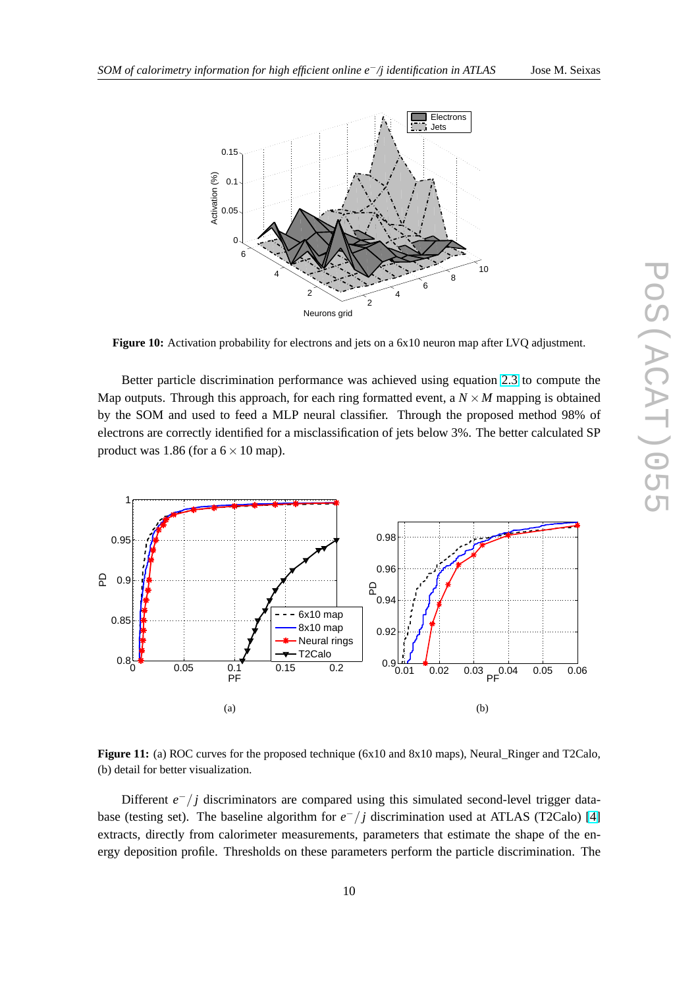<span id="page-9-0"></span>

**Figure 10:** Activation probability for electrons and jets on a  $6x10$  neuron map after LVQ adjustment.

Better particle discrimination performance was achieved using equation [2.3](#page-6-0) to compute the Map outputs. Through this approach, for each ring formatted event, a  $N \times M$  mapping is obtained by the SOM and used to feed a MLP neural classifier. Through the proposed method 98% of electrons are correctly identified for a misclassification of jets below 3%. The better calculated SP product was 1.86 (for a  $6 \times 10$  map).



**Figure 11:** (a) ROC curves for the proposed technique (6x10 and 8x10 maps), Neural\_Ringer and T2Calo, (b) detail for better visualization.

Different *e*<sup>−</sup>/*j* discriminators are compared using this simulated second-level trigger database (testing set). The baseline algorithm for  $e^-/j$  discrimination used at ATLAS (T2Calo) [\[4\]](#page-12-0) extracts, directly from calorimeter measurements, parameters that estimate the shape of the energy deposition profile. Thresholds on these parameters perform the particle discrimination. The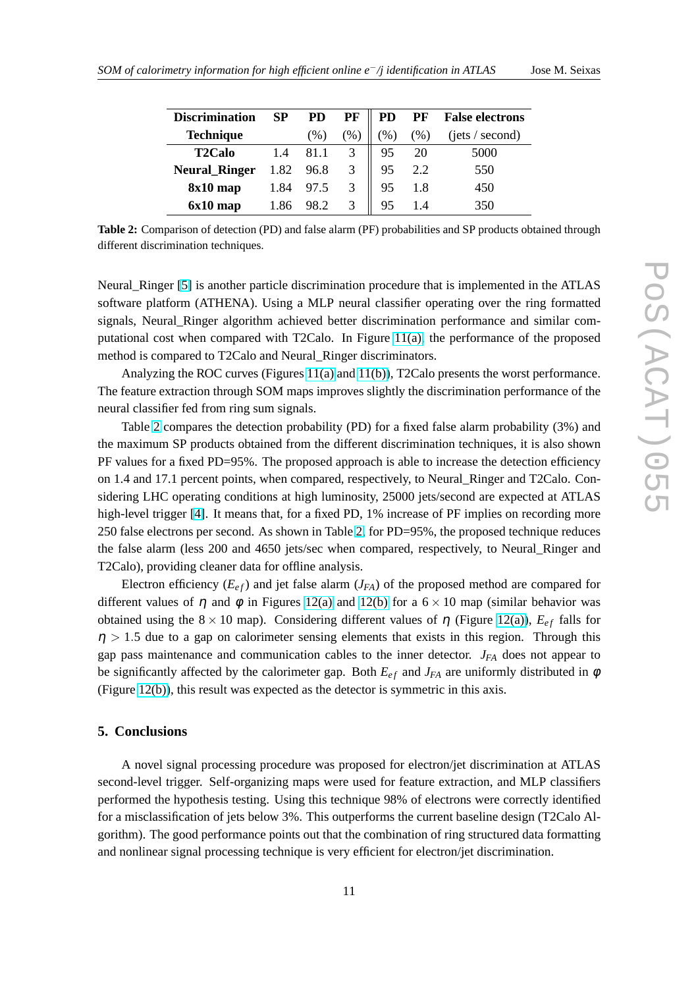| <b>Discrimination</b> | SP   | <b>PD</b> | PF            | PD   |      | <b>PF</b> False electrons |
|-----------------------|------|-----------|---------------|------|------|---------------------------|
| <b>Technique</b>      |      | (%)       | $\frac{1}{2}$ | (96) | (96) | (jets / second)           |
| <b>T2Calo</b>         | 1.4  | 81.1      |               | 95   | 20   | 5000                      |
| <b>Neural_Ringer</b>  | 1.82 | 96.8      |               | 95   |      | 550                       |
| $8x10$ map            | 1.84 | 97.5      |               | 95   | 1.8  | 450                       |
| $6x10$ map            | 1.86 |           |               | 95   |      | 350                       |

**Table 2:** Comparison of detection (PD) and false alarm (PF) probabilities and SP products obtained through different discrimination techniques.

Neural Ringer [\[5\]](#page-12-0) is another particle discrimination procedure that is implemented in the ATLAS software platform (ATHENA). Using a MLP neural classifier operating over the ring formatted signals, Neural\_Ringer algorithm achieved better discrimination performance and similar computational cost when compared with T2Calo. In Figure [11\(a\),](#page-9-0) the performance of the proposed method is compared to T2Calo and Neural\_Ringer discriminators.

Analyzing the ROC curves (Figures [11\(a\)](#page-9-0) and [11\(b\)\)](#page-9-0), T2Calo presents the worst performance. The feature extraction through SOM maps improves slightly the discrimination performance of the neural classifier fed from ring sum signals.

Table 2 compares the detection probability (PD) for a fixed false alarm probability (3%) and the maximum SP products obtained from the different discrimination techniques, it is also shown PF values for a fixed PD=95%. The proposed approach is able to increase the detection efficiency on 1.4 and 17.1 percent points, when compared, respectively, to Neural\_Ringer and T2Calo. Considering LHC operating conditions at high luminosity, 25000 jets/second are expected at ATLAS high-level trigger [\[4\]](#page-12-0). It means that, for a fixed PD, 1% increase of PF implies on recording more 250 false electrons per second. As shown in Table 2, for PD=95%, the proposed technique reduces the false alarm (less 200 and 4650 jets/sec when compared, respectively, to Neural\_Ringer and T2Calo), providing cleaner data for offline analysis.

Electron efficiency  $(E_{ef})$  and jet false alarm  $(J_{FA})$  of the proposed method are compared for different values of  $\eta$  and  $\phi$  in Figures [12\(a\)](#page-11-0) and [12\(b\)](#page-11-0) for a  $6 \times 10$  map (similar behavior was obtained using the  $8 \times 10$  map). Considering different values of  $\eta$  (Figure [12\(a\)\)](#page-11-0),  $E_{ef}$  falls for  $\eta > 1.5$  due to a gap on calorimeter sensing elements that exists in this region. Through this gap pass maintenance and communication cables to the inner detector. *JFA* does not appear to be significantly affected by the calorimeter gap. Both  $E_{ef}$  and  $J_{FA}$  are uniformly distributed in  $\phi$ (Figure [12\(b\)\)](#page-11-0), this result was expected as the detector is symmetric in this axis.

#### **5. Conclusions**

A novel signal processing procedure was proposed for electron/jet discrimination at ATLAS second-level trigger. Self-organizing maps were used for feature extraction, and MLP classifiers performed the hypothesis testing. Using this technique 98% of electrons were correctly identified for a misclassification of jets below 3%. This outperforms the current baseline design (T2Calo Algorithm). The good performance points out that the combination of ring structured data formatting and nonlinear signal processing technique is very efficient for electron/jet discrimination.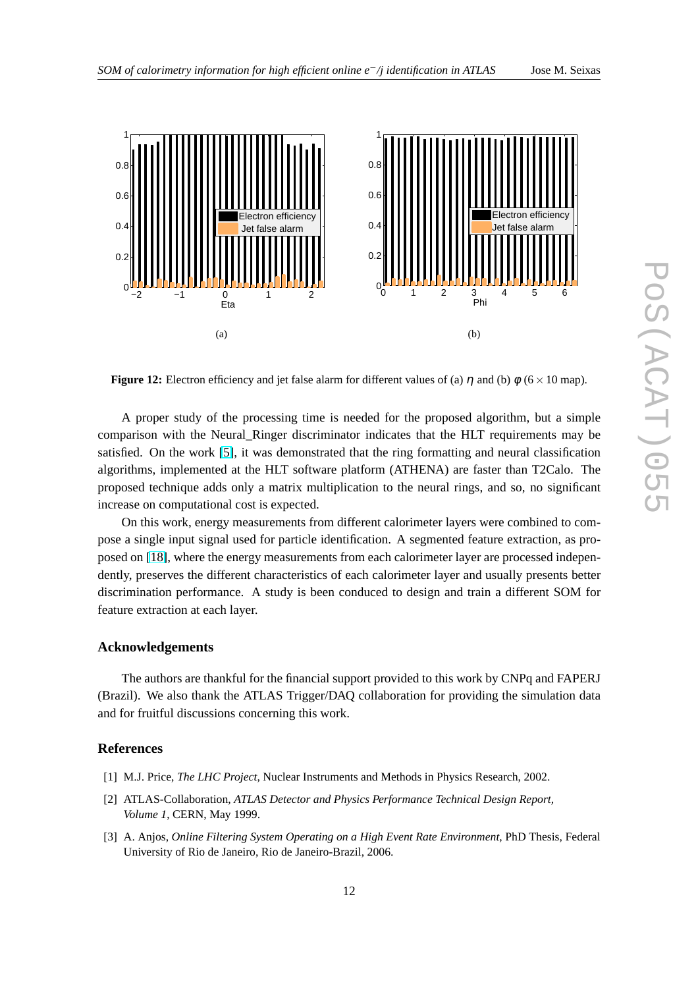<span id="page-11-0"></span>

**Figure 12:** Electron efficiency and jet false alarm for different values of (a)  $\eta$  and (b)  $\phi$  (6 × 10 map).

A proper study of the processing time is needed for the proposed algorithm, but a simple comparison with the Neural\_Ringer discriminator indicates that the HLT requirements may be satisfied. On the work [\[5\]](#page-12-0), it was demonstrated that the ring formatting and neural classification algorithms, implemented at the HLT software platform (ATHENA) are faster than T2Calo. The proposed technique adds only a matrix multiplication to the neural rings, and so, no significant increase on computational cost is expected.

On this work, energy measurements from different calorimeter layers were combined to compose a single input signal used for particle identification. A segmented feature extraction, as proposed on [\[18\]](#page-12-0), where the energy measurements from each calorimeter layer are processed independently, preserves the different characteristics of each calorimeter layer and usually presents better discrimination performance. A study is been conduced to design and train a different SOM for feature extraction at each layer.

#### **Acknowledgements**

The authors are thankful for the financial support provided to this work by CNPq and FAPERJ (Brazil). We also thank the ATLAS Trigger/DAQ collaboration for providing the simulation data and for fruitful discussions concerning this work.

#### **References**

- [1] M.J. Price, *The LHC Project*, Nuclear Instruments and Methods in Physics Research, 2002.
- [2] ATLAS-Collaboration, *ATLAS Detector and Physics Performance Technical Design Report, Volume 1*, CERN, May 1999.
- [3] A. Anjos, *Online Filtering System Operating on a High Event Rate Environment*, PhD Thesis, Federal University of Rio de Janeiro, Rio de Janeiro-Brazil, 2006.